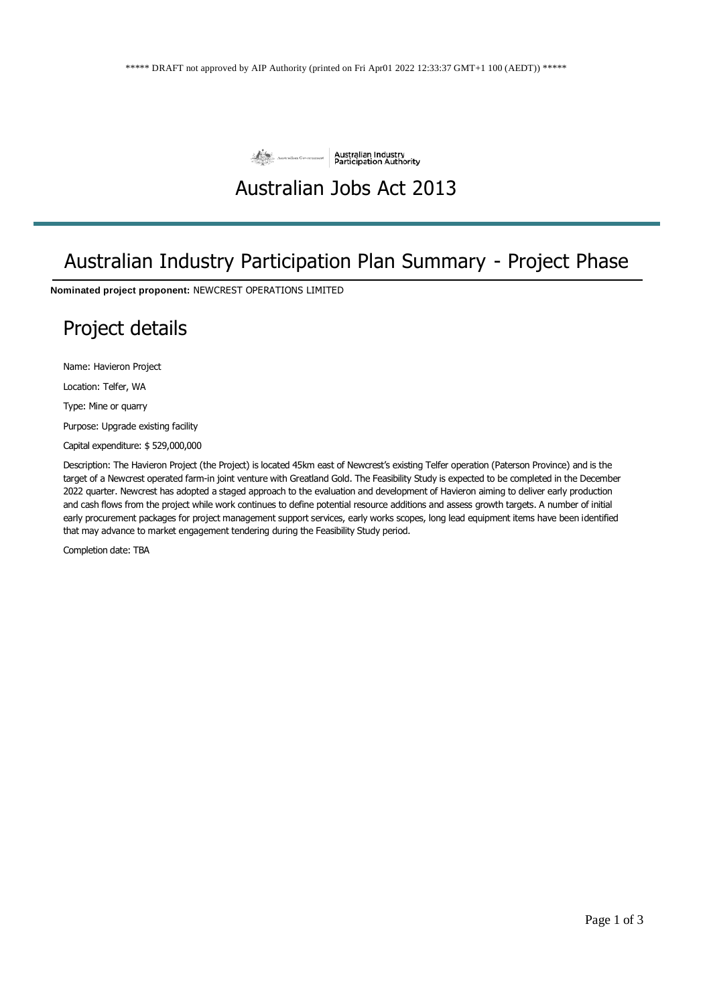

## Australian Jobs Act 2013

## Australian Industry Participation Plan Summary - Project Phase

**Nominated project proponent:** NEWCREST OPERATIONS LIMITED

## Project details

Name: Havieron Project

Location: Telfer, WA

Type: Mine or quarry

Purpose: Upgrade existing facility

Capital expenditure: \$ 529,000,000

Description: The Havieron Project (the Project) is located 45km east of Newcrest's existing Telfer operation (Paterson Province) and is the target of a Newcrest operated farm-in joint venture with Greatland Gold. The Feasibility Study is expected to be completed in the December 2022 quarter. Newcrest has adopted a staged approach to the evaluation and development of Havieron aiming to deliver early production and cash flows from the project while work continues to define potential resource additions and assess growth targets. A number of initial early procurement packages for project management support services, early works scopes, long lead equipment items have been identified that may advance to market engagement tendering during the Feasibility Study period.

Completion date: TBA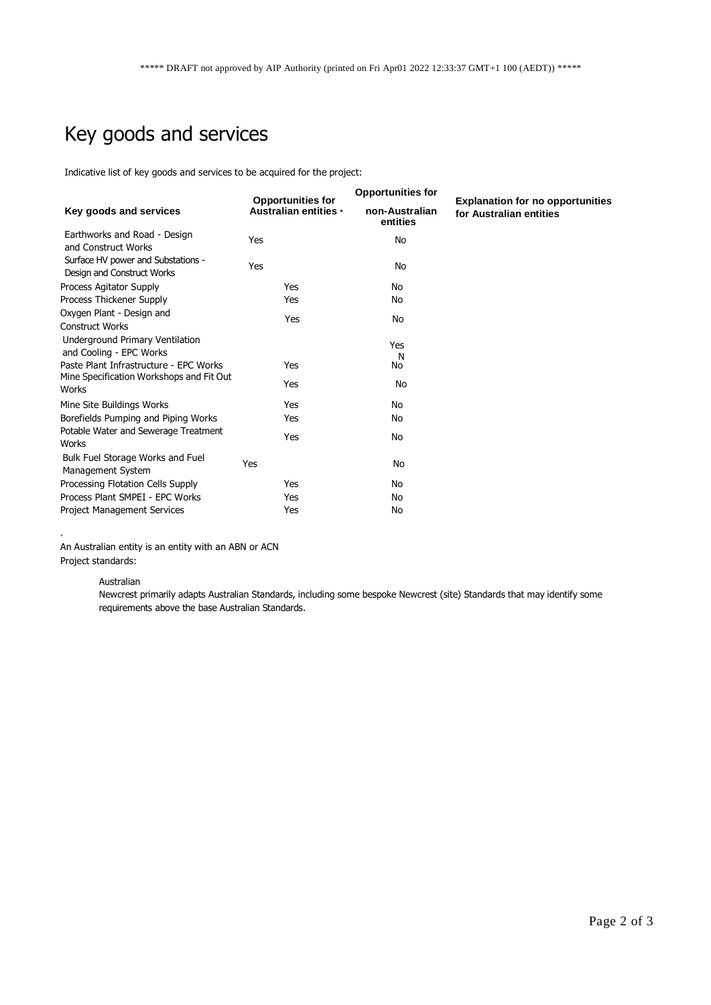# Key goods and services

Indicative list of key goods and services to be acquired for the project:

| Key goods and services                                           | <b>Opportunities for</b><br>Australian entities * | <b>Opportunities for</b>   | <b>Explanation for no opportunities</b><br>for Australian entities |
|------------------------------------------------------------------|---------------------------------------------------|----------------------------|--------------------------------------------------------------------|
|                                                                  |                                                   | non-Australian<br>entities |                                                                    |
| Earthworks and Road - Design<br>and Construct Works              | Yes                                               | No                         |                                                                    |
| Surface HV power and Substations -<br>Design and Construct Works | Yes                                               | No                         |                                                                    |
| Process Agitator Supply                                          | Yes                                               | No                         |                                                                    |
| Process Thickener Supply                                         | Yes                                               | No                         |                                                                    |
| Oxygen Plant - Design and<br><b>Construct Works</b>              | Yes                                               | No                         |                                                                    |
| Underground Primary Ventilation<br>and Cooling - EPC Works       |                                                   | Yes<br>N                   |                                                                    |
| Paste Plant Infrastructure - EPC Works                           | Yes                                               | No                         |                                                                    |
| Mine Specification Workshops and Fit Out<br>Works                | Yes                                               | No                         |                                                                    |
| Mine Site Buildings Works                                        | Yes                                               | No                         |                                                                    |
| Borefields Pumping and Piping Works                              | Yes                                               | No                         |                                                                    |
| Potable Water and Sewerage Treatment<br>Works                    | Yes                                               | No                         |                                                                    |
| Bulk Fuel Storage Works and Fuel<br>Management System            | <b>Yes</b>                                        | <b>No</b>                  |                                                                    |
| Processing Flotation Cells Supply                                | Yes                                               | No                         |                                                                    |
| Process Plant SMPEI - EPC Works                                  | Yes                                               | No                         |                                                                    |
| <b>Project Management Services</b>                               | Yes                                               | No                         |                                                                    |

An Australian entity is an entity with an ABN or ACN Project standards:

#### Australian

\*

Newcrest primarily adapts Australian Standards, including some bespoke Newcrest (site) Standards that may identify some requirements above the base Australian Standards.